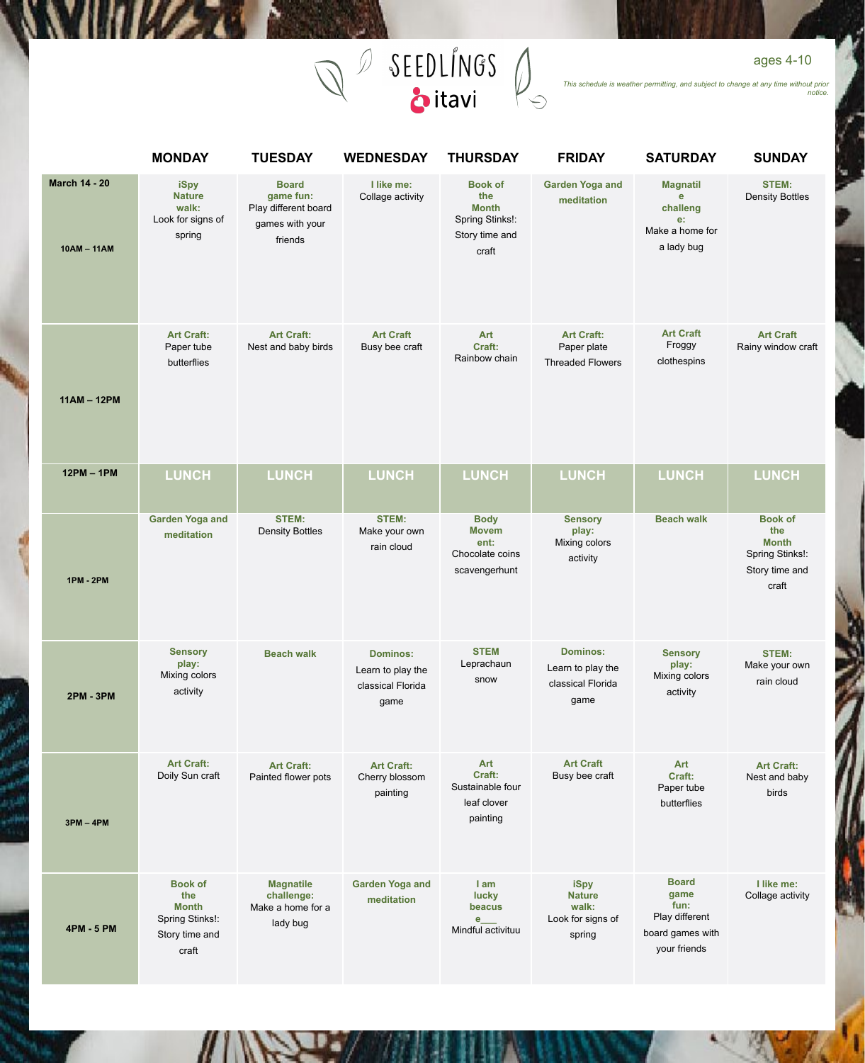

*This schedule is weather permitting, and subject to change at any time without prior notice.*

|                                     | <b>MONDAY</b>                                                                       | <b>TUESDAY</b>                                                                  | <b>WEDNESDAY</b>                                                  | <b>THURSDAY</b>                                                                     | <b>FRIDAY</b>                                                     | <b>SATURDAY</b>                                                                    | <b>SUNDAY</b>                                                                       |
|-------------------------------------|-------------------------------------------------------------------------------------|---------------------------------------------------------------------------------|-------------------------------------------------------------------|-------------------------------------------------------------------------------------|-------------------------------------------------------------------|------------------------------------------------------------------------------------|-------------------------------------------------------------------------------------|
| <b>March 14 - 20</b><br>10AM - 11AM | iSpy<br><b>Nature</b><br>walk:<br>Look for signs of<br>spring                       | <b>Board</b><br>game fun:<br>Play different board<br>games with your<br>friends | I like me:<br>Collage activity                                    | <b>Book of</b><br>the<br><b>Month</b><br>Spring Stinks!:<br>Story time and<br>craft | <b>Garden Yoga and</b><br>meditation                              | <b>Magnatil</b><br>e<br>challeng<br>e:<br>Make a home for<br>a lady bug            | <b>STEM:</b><br><b>Density Bottles</b>                                              |
| $11AM - 12PM$                       | <b>Art Craft:</b><br>Paper tube<br>butterflies                                      | <b>Art Craft:</b><br>Nest and baby birds                                        | <b>Art Craft</b><br>Busy bee craft                                | Art<br>Craft:<br>Rainbow chain                                                      | <b>Art Craft:</b><br>Paper plate<br><b>Threaded Flowers</b>       | <b>Art Craft</b><br>Froggy<br>clothespins                                          | <b>Art Craft</b><br>Rainy window craft                                              |
| $12PM - 1PM$                        | <b>LUNCH</b>                                                                        | <b>LUNCH</b>                                                                    | <b>LUNCH</b>                                                      | <b>LUNCH</b>                                                                        | LUNCH                                                             | LUNCH                                                                              | <b>LUNCH</b>                                                                        |
| <b>1PM - 2PM</b>                    | <b>Garden Yoga and</b><br>meditation                                                | <b>STEM:</b><br><b>Density Bottles</b>                                          | <b>STEM:</b><br>Make your own<br>rain cloud                       | <b>Body</b><br><b>Movem</b><br>ent:<br>Chocolate coins<br>scavengerhunt             | <b>Sensory</b><br>play:<br>Mixing colors<br>activity              | <b>Beach walk</b>                                                                  | <b>Book of</b><br>the<br><b>Month</b><br>Spring Stinks!:<br>Story time and<br>craft |
| <b>2PM - 3PM</b>                    | <b>Sensory</b><br>play:<br>Mixing colors<br>activity                                | <b>Beach walk</b>                                                               | <b>Dominos:</b><br>Learn to play the<br>classical Florida<br>game | <b>STEM</b><br>Leprachaun<br>snow                                                   | <b>Dominos:</b><br>Learn to play the<br>classical Florida<br>game | <b>Sensory</b><br>play:<br>Mixing colors<br>activity                               | <b>STEM:</b><br>Make your own<br>rain cloud                                         |
| $3PM - 4PM$                         | <b>Art Craft:</b><br>Doily Sun craft                                                | <b>Art Craft:</b><br>Painted flower pots                                        | <b>Art Craft:</b><br>Cherry blossom<br>painting                   | Art<br>Craft:<br>Sustainable four<br>leaf clover<br>painting                        | <b>Art Craft</b><br>Busy bee craft                                | Art<br>Craft:<br>Paper tube<br>butterflies                                         | <b>Art Craft:</b><br>Nest and baby<br>birds                                         |
| 4PM - 5 PM                          | <b>Book of</b><br>the<br><b>Month</b><br>Spring Stinks!:<br>Story time and<br>craft | <b>Magnatile</b><br>challenge:<br>Make a home for a<br>lady bug                 | <b>Garden Yoga and</b><br>meditation                              | I am<br>lucky<br>beacus<br>e<br>Mindful activituu                                   | iSpy<br><b>Nature</b><br>walk:<br>Look for signs of<br>spring     | <b>Board</b><br>game<br>fun:<br>Play different<br>board games with<br>your friends | I like me:<br>Collage activity                                                      |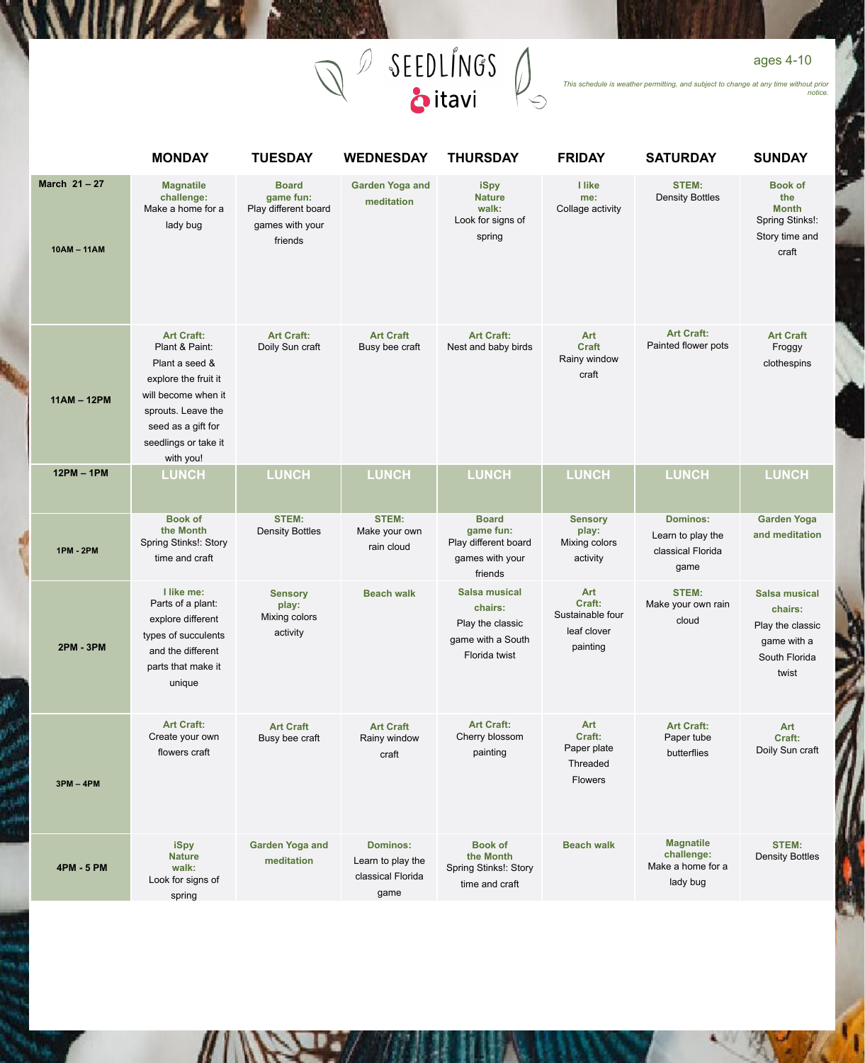

*This schedule is weather permitting, and subject to change at any time without prior notice.*

|                          | <b>MONDAY</b>                                                                                                                                                                         | <b>TUESDAY</b>                                                                  | <b>WEDNESDAY</b>                                                  | <b>THURSDAY</b>                                                                    | <b>FRIDAY</b>                                                | <b>SATURDAY</b>                                                   | <b>SUNDAY</b>                                                                                |
|--------------------------|---------------------------------------------------------------------------------------------------------------------------------------------------------------------------------------|---------------------------------------------------------------------------------|-------------------------------------------------------------------|------------------------------------------------------------------------------------|--------------------------------------------------------------|-------------------------------------------------------------------|----------------------------------------------------------------------------------------------|
| March 21-27<br>10AM-11AM | <b>Magnatile</b><br>challenge:<br>Make a home for a<br>lady bug                                                                                                                       | <b>Board</b><br>game fun:<br>Play different board<br>games with your<br>friends | <b>Garden Yoga and</b><br>meditation                              | iSpy<br><b>Nature</b><br>walk:<br>Look for signs of<br>spring                      | I like<br>me:<br>Collage activity                            | <b>STEM:</b><br><b>Density Bottles</b>                            | <b>Book of</b><br>the<br><b>Month</b><br>Spring Stinks!:<br>Story time and<br>craft          |
| $11AM - 12PM$            | <b>Art Craft:</b><br>Plant & Paint:<br>Plant a seed &<br>explore the fruit it<br>will become when it<br>sprouts. Leave the<br>seed as a gift for<br>seedlings or take it<br>with you! | <b>Art Craft:</b><br>Doily Sun craft                                            | <b>Art Craft</b><br>Busy bee craft                                | <b>Art Craft:</b><br>Nest and baby birds                                           | Art<br><b>Craft</b><br>Rainy window<br>craft                 | <b>Art Craft:</b><br>Painted flower pots                          | <b>Art Craft</b><br>Froggy<br>clothespins                                                    |
| $12PM - 1PM$             | <b>LUNCH</b>                                                                                                                                                                          | <b>LUNCH</b>                                                                    | <b>LUNCH</b>                                                      | <b>LUNCH</b>                                                                       | <b>LUNCH</b>                                                 | <b>LUNCH</b>                                                      | <b>LUNCH</b>                                                                                 |
| <b>1PM - 2PM</b>         | <b>Book of</b><br>the Month<br>Spring Stinks!: Story<br>time and craft                                                                                                                | <b>STEM:</b><br><b>Density Bottles</b>                                          | <b>STEM:</b><br>Make your own<br>rain cloud                       | <b>Board</b><br>game fun:<br>Play different board<br>games with your<br>friends    | <b>Sensory</b><br>play:<br>Mixing colors<br>activity         | <b>Dominos:</b><br>Learn to play the<br>classical Florida<br>game | <b>Garden Yoga</b><br>and meditation                                                         |
| <b>2PM - 3PM</b>         | I like me:<br>Parts of a plant:<br>explore different<br>types of succulents<br>and the different<br>parts that make it<br>unique                                                      | <b>Sensory</b><br>play:<br>Mixing colors<br>activity                            | <b>Beach walk</b>                                                 | Salsa musical<br>chairs:<br>Play the classic<br>game with a South<br>Florida twist | Art<br>Craft:<br>Sustainable four<br>leaf clover<br>painting | <b>STEM:</b><br>Make your own rain<br>cloud                       | <b>Salsa musical</b><br>chairs:<br>Play the classic<br>game with a<br>South Florida<br>twist |
| $3PM - 4PM$              | <b>Art Craft:</b><br>Create your own<br>flowers craft                                                                                                                                 | <b>Art Craft</b><br>Busy bee craft                                              | <b>Art Craft</b><br>Rainy window<br>craft                         | <b>Art Craft:</b><br>Cherry blossom<br>painting                                    | Art<br>Craft:<br>Paper plate<br>Threaded<br><b>Flowers</b>   | <b>Art Craft:</b><br>Paper tube<br>butterflies                    | <b>Art</b><br>Craft:<br>Doily Sun craft                                                      |
| <b>4PM - 5 PM</b>        | iSpy<br><b>Nature</b><br>walk:<br>Look for signs of<br>spring                                                                                                                         | <b>Garden Yoga and</b><br>meditation                                            | <b>Dominos:</b><br>Learn to play the<br>classical Florida<br>game | <b>Book of</b><br>the Month<br>Spring Stinks!: Story<br>time and craft             | <b>Beach walk</b>                                            | <b>Magnatile</b><br>challenge:<br>Make a home for a<br>lady bug   | <b>STEM:</b><br><b>Density Bottles</b>                                                       |

## ages 4-10